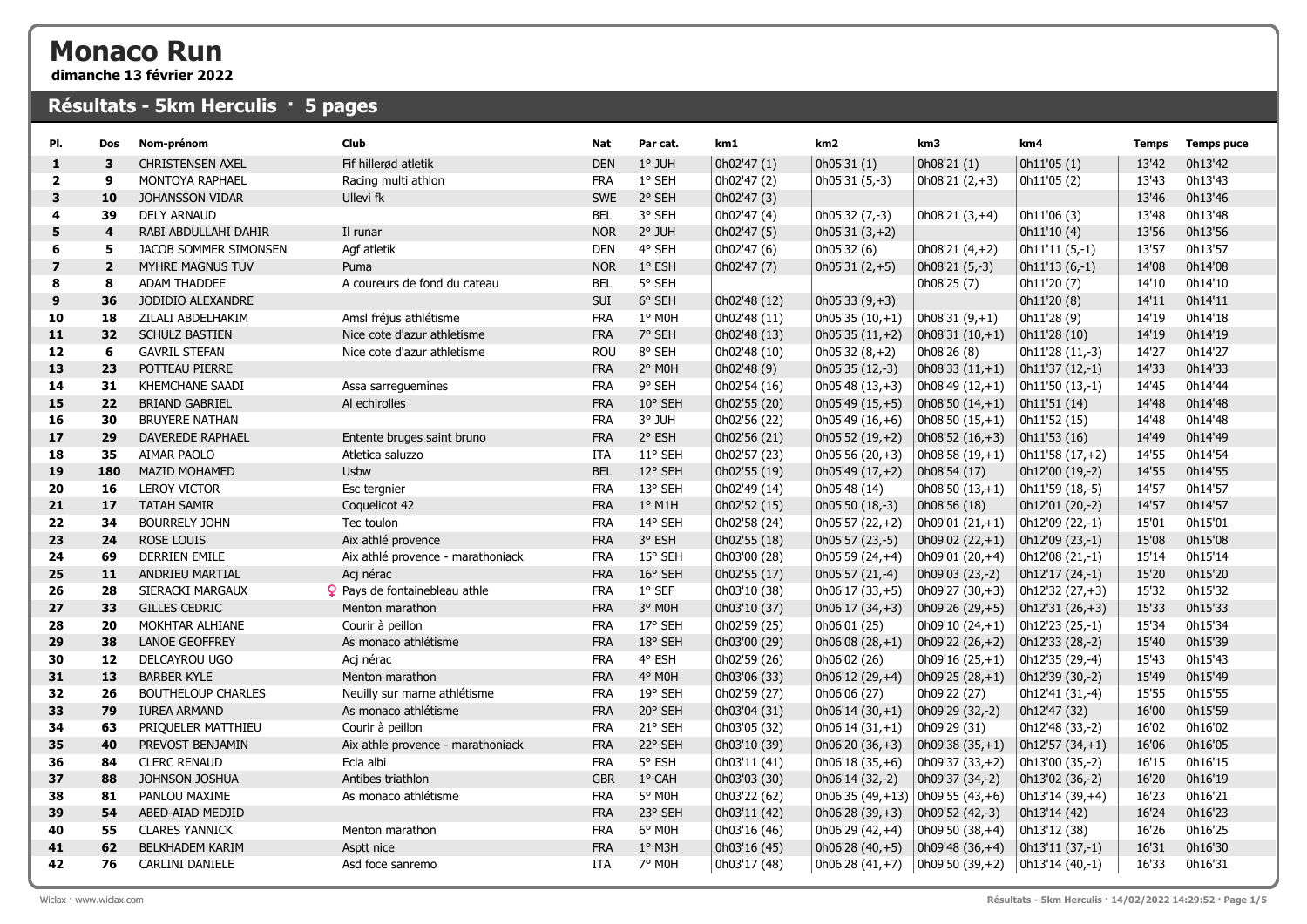## Monaco Run

dimanche 13 février 2022

## Résultats - 5km Herculis · 5 pages

| PI.                     | Dos            | Nom-prénom                | Club                              | <b>Nat</b> | Par cat.         | km1          | km <sub>2</sub>                        | km3                     | km4              | <b>Temps</b> | <b>Temps puce</b> |
|-------------------------|----------------|---------------------------|-----------------------------------|------------|------------------|--------------|----------------------------------------|-------------------------|------------------|--------------|-------------------|
| $\mathbf{1}$            | 3              | CHRISTENSEN AXEL          | Fif hillerød atletik              | <b>DEN</b> | 1° JUH           | 0h02'47 (1)  | 0h05'31 (1)                            | 0h08'21 (1)             | 0h11'05(1)       | 13'42        | 0h13'42           |
| $\overline{2}$          | 9              | <b>MONTOYA RAPHAEL</b>    | Racing multi athlon               | <b>FRA</b> | 1° SEH           | 0h02'47 (2)  | $0h05'31(5,-3)$                        | $\vert$ 0h08'21 (2,+3)  | 0h11'05 (2)      | 13'43        | 0h13'43           |
| 3                       | 10             | JOHANSSON VIDAR           | <b>Ullevi</b> fk                  | <b>SWE</b> | 2° SEH           | 0h02'47 (3)  |                                        |                         |                  | 13'46        | 0h13'46           |
| 4                       | 39             | <b>DELY ARNAUD</b>        |                                   | <b>BEL</b> | 3° SEH           | 0h02'47 (4)  | 0h05'32 (7,-3)                         | $0h08'21(3,+4)$         | 0h11'06 (3)      | 13'48        | 0h13'48           |
| 5                       | 4              | RABI ABDULLAHI DAHIR      | Il runar                          | <b>NOR</b> | $2°$ JUH         | 0h02'47 (5)  | $0h05'31(3,+2)$                        |                         | 0h11'10(4)       | 13'56        | 0h13'56           |
| 6                       | 5              | JACOB SOMMER SIMONSEN     | Agf atletik                       | <b>DEN</b> | 4° SEH           | 0h02'47 (6)  | 0h05'32 (6)                            | 0h08'21 (4,+2)          | $0h11'11(5,-1)$  | 13'57        | 0h13'57           |
| $\overline{\mathbf{z}}$ | $\overline{2}$ | MYHRE MAGNUS TUV          | Puma                              | <b>NOR</b> | 1° ESH           | 0h02'47 (7)  | $0h05'31(2,+5)$                        | $0h08'21(5,-3)$         | $0h11'13(6,-1)$  | 14'08        | 0h14'08           |
| 8                       | 8              | <b>ADAM THADDEE</b>       | A coureurs de fond du cateau      | <b>BEL</b> | 5° SEH           |              |                                        | 0h08'25 (7)             | 0h11'20 (7)      | 14'10        | 0h14'10           |
| 9                       | 36             | JODIDIO ALEXANDRE         |                                   | SUI        | 6° SEH           | 0h02'48 (12) | $0h05'33(9,+3)$                        |                         | 0h11'20 (8)      | 14'11        | 0h14'11           |
| 10                      | 18             | ZILALI ABDELHAKIM         | Amsl fréjus athlétisme            | <b>FRA</b> | 1° MOH           | 0h02'48 (11) | $0h05'35(10,+1)$                       | $0h08'31(9,+1)$         | 0h11'28 (9)      | 14'19        | 0h14'18           |
| 11                      | 32             | <b>SCHULZ BASTIEN</b>     | Nice cote d'azur athletisme       | <b>FRA</b> | 7° SEH           | 0h02'48 (13) | $0h05'35(11,+2)$                       | $0h08'31(10,+1)$        | 0h11'28 (10)     | 14'19        | 0h14'19           |
| 12                      | 6              | <b>GAVRIL STEFAN</b>      | Nice cote d'azur athletisme       | <b>ROU</b> | 8° SEH           | 0h02'48 (10) | $0h05'32(8,+2)$                        | 0h08'26 (8)             | 0h11'28 (11,-3)  | 14'27        | 0h14'27           |
| 13                      | 23             | POTTEAU PIERRE            |                                   | <b>FRA</b> | 2° MOH           | 0h02'48 (9)  | 0h05'35 (12,-3)                        | $\vert$ 0h08'33 (11,+1) | 0h11'37 (12,-1)  | 14'33        | 0h14'33           |
| 14                      | 31             | <b>KHEMCHANE SAADI</b>    | Assa sarreguemines                | <b>FRA</b> | 9° SEH           | 0h02'54 (16) | $0h05'48(13,+3)$                       | $  0h08'49 (12,+1)$     | 0h11'50 (13,-1)  | 14'45        | 0h14'44           |
| 15                      | 22             | <b>BRIAND GABRIEL</b>     | Al echirolles                     | <b>FRA</b> | $10^{\circ}$ SEH | 0h02'55 (20) | $0h05'49(15,+5)$                       | $\vert$ 0h08'50 (14,+1) | 0h11'51 (14)     | 14'48        | 0h14'48           |
| 16                      | 30             | <b>BRUYERE NATHAN</b>     |                                   | <b>FRA</b> | 3° JUH           | 0h02'56 (22) | $0h05'49(16,+6)$                       | $\vert$ 0h08'50 (15,+1) | 0h11'52 (15)     | 14'48        | 0h14'48           |
| 17                      | 29             | <b>DAVEREDE RAPHAEL</b>   | Entente bruges saint bruno        | <b>FRA</b> | 2° ESH           | 0h02'56 (21) | $0h05'52(19,+2)$                       | $\vert$ 0h08'52 (16,+3) | 0h11'53 (16)     | 14'49        | 0h14'49           |
| 18                      | 35             | AIMAR PAOLO               | Atletica saluzzo                  | <b>ITA</b> | 11° SEH          | 0h02'57 (23) | $0h05'56(20,+3)$                       | $0h08'58(19,+1)$        | $0h11'58(17,+2)$ | 14'55        | 0h14'54           |
| 19                      | 180            | <b>MAZID MOHAMED</b>      | Usbw                              | <b>BEL</b> | 12° SEH          | 0h02'55 (19) | $0h05'49(17,+2)$                       | 0h08'54 (17)            | 0h12'00 (19,-2)  | 14'55        | 0h14'55           |
| 20                      | 16             | <b>LEROY VICTOR</b>       | Esc tergnier                      | <b>FRA</b> | 13° SEH          | 0h02'49 (14) | 0h05'48 (14)                           | $0h08'50(13,+1)$        | 0h11'59 (18,-5)  | 14'57        | 0h14'57           |
| 21                      | 17             | <b>TATAH SAMIR</b>        | Coquelicot 42                     | <b>FRA</b> | $1^{\circ}$ M1H  | 0h02'52 (15) | 0h05'50 (18,-3)                        | Oh08'56 (18)            | 0h12'01 (20,-2)  | 14'57        | 0h14'57           |
| 22                      | 34             | <b>BOURRELY JOHN</b>      | Tec toulon                        | <b>FRA</b> | 14° SEH          | 0h02'58 (24) | $0h05'57(22,+2)$                       | $  0h09'01 (21,+1)$     | 0h12'09 (22,-1)  | 15'01        | 0h15'01           |
| 23                      | 24             | ROSE LOUIS                | Aix athlé provence                | <b>FRA</b> | 3° ESH           | 0h02'55 (18) | 0h05'57 (23,-5)                        | $0h09'02(22,+1)$        | 0h12'09 (23,-1)  | 15'08        | 0h15'08           |
| 24                      | 69             | DERRIEN EMILE             | Aix athlé provence - marathoniack | <b>FRA</b> | 15° SEH          | 0h03'00 (28) | $0h05'59(24,+4)$                       | $  0h09'01 (20,+4)$     | 0h12'08 (21,-1)  | 15'14        | 0h15'14           |
| 25                      | 11             | ANDRIEU MARTIAL           | Acj nérac                         | <b>FRA</b> | 16° SEH          | 0h02'55 (17) | 0h05'57 (21,-4)                        | 0h09'03 (23,-2)         | 0h12'17 (24,-1)  | 15'20        | 0h15'20           |
| 26                      | 28             | SIERACKI MARGAUX          | P Pays de fontainebleau athle     | <b>FRA</b> | 1° SEF           | 0h03'10 (38) | $0h06'17(33,+5)$                       | $ 0h09'27(30,+3) $      | $0h12'32(27,+3)$ | 15'32        | 0h15'32           |
| 27                      | 33             | <b>GILLES CEDRIC</b>      | Menton marathon                   | <b>FRA</b> | 3° MOH           | 0h03'10 (37) | $0h06'17(34,+3)$                       | $  0h09'26 (29, +5)$    | $0h12'31(26,+3)$ | 15'33        | 0h15'33           |
| 28                      | 20             | MOKHTAR ALHIANE           | Courir à peillon                  | <b>FRA</b> | 17° SEH          | 0h02'59 (25) | 0h06'01 (25)                           | $0h09'10(24,+1)$        | 0h12'23 (25,-1)  | 15'34        | 0h15'34           |
| 29                      | 38             | <b>LANOE GEOFFREY</b>     | As monaco athlétisme              | <b>FRA</b> | 18° SEH          | 0h03'00 (29) | $0h06'08(28,+1)$                       | $  0h09'22 (26,+2)$     | 0h12'33 (28,-2)  | 15'40        | 0h15'39           |
| 30                      | 12             | DELCAYROU UGO             | Acj nérac                         | <b>FRA</b> | 4° ESH           | 0h02'59 (26) | 0h06'02 (26)                           | $0h09'16(25,+1)$        | 0h12'35 (29,-4)  | 15'43        | 0h15'43           |
| 31                      | 13             | <b>BARBER KYLE</b>        | Menton marathon                   | <b>FRA</b> | 4° MOH           | 0h03'06 (33) | $0h06'12(29,+4)$                       | $\vert$ 0h09'25 (28,+1) | 0h12'39 (30,-2)  | 15'49        | 0h15'49           |
| 32                      | 26             | <b>BOUTHELOUP CHARLES</b> | Neuilly sur marne athlétisme      | <b>FRA</b> | 19° SEH          | 0h02'59 (27) | 0h06'06 (27)                           | 0h09'22 (27)            | 0h12'41 (31,-4)  | 15'55        | 0h15'55           |
| 33                      | 79             | <b>IUREA ARMAND</b>       | As monaco athlétisme              | <b>FRA</b> | 20° SEH          | 0h03'04 (31) | $0h06'14(30,+1)$                       | $  0h09'29 (32,-2)$     | 0h12'47 (32)     | 16'00        | 0h15'59           |
| 34                      | 63             | PRIQUELER MATTHIEU        | Courir à peillon                  | <b>FRA</b> | 21° SEH          | 0h03'05 (32) | $0h06'14(31,+1)$                       | 0h09'29(31)             | 0h12'48 (33,-2)  | 16'02        | 0h16'02           |
| 35                      | 40             | PREVOST BENJAMIN          | Aix athle provence - marathoniack | <b>FRA</b> | 22° SEH          | 0h03'10 (39) | $0h06'20(36,+3)$                       | $  0h09'38 (35,+1)$     | $0h12'57(34,+1)$ | 16'06        | 0h16'05           |
| 36                      | 84             | <b>CLERC RENAUD</b>       | Ecla albi                         | <b>FRA</b> | 5° ESH           | 0h03'11 (41) | $0h06'18(35,+6)$                       | $  0h09'37 (33,+2)$     | 0h13'00 (35,-2)  | 16'15        | 0h16'15           |
| 37                      | 88             | JOHNSON JOSHUA            | Antibes triathlon                 | <b>GBR</b> | 1° CAH           | 0h03'03 (30) | 0h06'14 (32,-2)                        | $\vert$ 0h09'37 (34,-2) | 0h13'02 (36,-2)  | 16'20        | 0h16'19           |
| 38                      | 81             | PANLOU MAXIME             | As monaco athlétisme              | <b>FRA</b> | 5° MOH           | 0h03'22 (62) | 0h06'35 $(49, +13)$ 0h09'55 $(43, +6)$ |                         | 0h13'14 (39,+4)  | 16'23        | 0h16'21           |
| 39                      | 54             | ABED-AIAD MEDJID          |                                   | <b>FRA</b> | 23° SEH          | 0h03'11 (42) | $0h06'28(39,+3)$                       | $  0h09'52 (42,-3)$     | 0h13'14 (42)     | 16'24        | 0h16'23           |
| 40                      | 55             | <b>CLARES YANNICK</b>     | Menton marathon                   | <b>FRA</b> | 6° MOH           | 0h03'16 (46) | $0h06'29(42,+4)$                       | $ 0h09'50(38,+4) $      | 0h13'12 (38)     | 16'26        | 0h16'25           |
| 41                      | 62             | <b>BELKHADEM KARIM</b>    | Asptt nice                        | <b>FRA</b> | $1°$ M3H         | 0h03'16 (45) | $0h06'28(40,+5)$                       | $\vert$ 0h09'48 (36,+4) | 0h13'11 (37,-1)  | 16'31        | 0h16'30           |
| 42                      | 76             | CARLINI DANIELE           | Asd foce sanremo                  | <b>ITA</b> | 7° M0H           | 0h03'17 (48) | $0h06'28(41,+7)$                       | $\vert$ 0h09'50 (39,+2) | 0h13'14 (40,-1)  | 16'33        | 0h16'31           |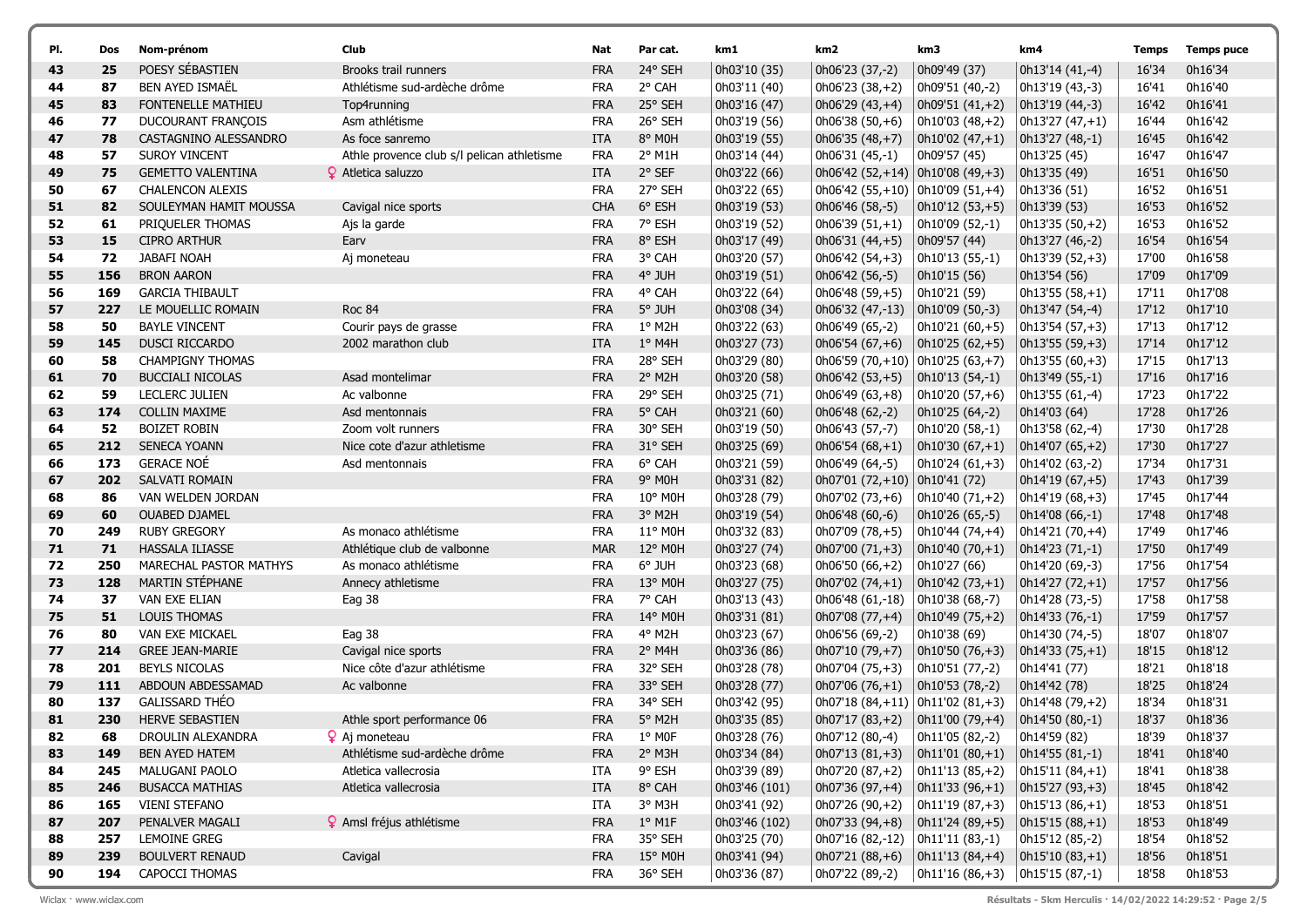| PI.      | Dos       | Nom-prénom                                | Club                                                | Nat                      | Par cat.           | km1                          | km2                                     | km3                                        | km4                                 | Temps          | <b>Temps puce</b>  |
|----------|-----------|-------------------------------------------|-----------------------------------------------------|--------------------------|--------------------|------------------------------|-----------------------------------------|--------------------------------------------|-------------------------------------|----------------|--------------------|
| 43       | 25        | POESY SÉBASTIEN                           | Brooks trail runners                                | <b>FRA</b>               | 24° SEH            | 0h03'10 (35)                 | 0h06'23 (37,-2)                         | 0h09'49 (37)                               | 0h13'14 (41,-4)                     | 16'34          | 0h16'34            |
| 44       | 87        | <b>BEN AYED ISMAËL</b>                    | Athlétisme sud-ardèche drôme                        | <b>FRA</b>               | 2° CAH             | 0h03'11 (40)                 | $0h06'23(38,+2)$                        | 0h09'51 (40,-2)                            | 0h13'19 (43,-3)                     | 16'41          | 0h16'40            |
| 45       | 83        | <b>FONTENELLE MATHIEU</b>                 | Top4running                                         | <b>FRA</b>               | 25° SEH            | 0h03'16 (47)                 | 0h06'29 (43,+4)                         | $  0h09'51 (41,+2)$                        | 0h13'19 (44,-3)                     | 16'42          | 0h16'41            |
| 46       | 77        | DUCOURANT FRANÇOIS                        | Asm athlétisme                                      | <b>FRA</b>               | 26° SEH            | Oh03'19 (56)                 | $0h06'38(50,+6)$                        | 0h10'03 (48,+2)                            | 0h13'27 (47,+1)                     | 16'44          | 0h16'42            |
| 47       | 78        | CASTAGNINO ALESSANDRO                     | As foce sanremo                                     | ITA                      | 8° MOH             | Oh03'19 (55)                 | $  0h06'35 (48,+7)$                     | $\vert$ 0h10'02 (47,+1)                    | 0h13'27 (48,-1)                     | 16'45          | 0h16'42            |
| 48       | 57        | <b>SUROY VINCENT</b>                      | Athle provence club s/l pelican athletisme          | <b>FRA</b>               | 2° M1H             | 0h03'14 (44)                 | 0h06'31 (45,-1)                         | 0h09'57 (45)                               | 0h13'25 (45)                        | 16'47          | 0h16'47            |
| 49       | 75        | <b>GEMETTO VALENTINA</b>                  | <b>9</b> Atletica saluzzo                           | <b>ITA</b>               | 2° SEF             | 0h03'22 (66)                 | $ 0h06'42(52,+14) 0h10'08(49,+3) $      |                                            | 0h13'35 (49)                        | 16'51          | 0h16'50            |
| 50       | 67        | <b>CHALENCON ALEXIS</b>                   |                                                     | <b>FRA</b>               | 27° SEH            | 0h03'22 (65)                 | 0h06'42 $(55,+10)$ 0h10'09 $(51,+4)$    |                                            | 0h13'36 (51)                        | 16'52          | 0h16'51            |
| 51       | 82        | SOULEYMAN HAMIT MOUSSA                    | Cavigal nice sports                                 | <b>CHA</b>               | 6° ESH             | 0h03'19 (53)                 | 0h06'46 (58,-5)                         | $\vert$ 0h10'12 (53,+5)                    | 0h13'39 (53)                        | 16'53          | 0h16'52            |
| 52       | 61        | PRIQUELER THOMAS                          | Ajs la garde                                        | <b>FRA</b>               | 7° ESH             | 0h03'19 (52)                 | $0h06'39(51,+1)$                        | 0h10'09 (52,-1)                            | 0h13'35 (50,+2)                     | 16'53          | 0h16'52            |
| 53       | 15        | <b>CIPRO ARTHUR</b>                       | Earv                                                | <b>FRA</b>               | 8° ESH             | 0h03'17 (49)                 | $  0h06'31 (44,+5)$                     | 0h09'57 (44)                               | 0h13'27 (46,-2)                     | 16'54          | 0h16'54            |
| 54       | 72        | <b>JABAFI NOAH</b>                        | Aj moneteau                                         | <b>FRA</b>               | 3° CAH             | 0h03'20 (57)                 | 0h06'42 (54,+3)                         | 0h10'13 (55,-1)                            | 0h13'39 (52,+3)                     | 17'00          | 0h16'58            |
| 55       | 156       | <b>BRON AARON</b>                         |                                                     | <b>FRA</b>               | 4° JUH             | 0h03'19 (51)                 | 0h06'42 (56,-5)                         | 0h10'15 (56)                               | 0h13'54 (56)                        | 17'09          | 0h17'09            |
| 56       | 169       | <b>GARCIA THIBAULT</b>                    |                                                     | <b>FRA</b>               | 4° CAH             | 0h03'22 (64)                 | $0h06'48(59,+5)$                        | 0h10'21 (59)                               | $0h13'55(58,+1)$                    | 17'11          | 0h17'08            |
| 57       | 227       | LE MOUELLIC ROMAIN                        | <b>Roc 84</b>                                       | <b>FRA</b>               | 5° JUH             | 0h03'08 (34)                 | 0h06'32 (47,-13)                        | $  0h10'09 (50,-3)$                        | 0h13'47 (54,-4)                     | 17'12          | 0h17'10            |
| 58       | 50        | <b>BAYLE VINCENT</b>                      | Courir pays de grasse                               | <b>FRA</b>               | 1° M2H             | 0h03'22 (63)                 | 0h06'49 (65,-2)                         | 0h10'21 (60,+5)                            | 0h13'54 (57,+3)                     | 17'13          | 0h17'12            |
| 59       | 145       | DUSCI RICCARDO                            | 2002 marathon club                                  | <b>ITA</b>               | $1°$ M4H           | 0h03'27 (73)                 | $  0h06'54 (67,+6)$                     | $ 0h10'25(62,+5) $                         | 0h13'55 (59,+3)                     | 17'14          | 0h17'12            |
| 60       | 58        | <b>CHAMPIGNY THOMAS</b>                   |                                                     | <b>FRA</b>               | 28° SEH            | 0h03'29 (80)                 | 0h06'59 (70,+10) 0h10'25 (63,+7)        |                                            | $0h13'55(60,+3)$                    | 17'15          | 0h17'13            |
| 61       | 70        | <b>BUCCIALI NICOLAS</b>                   | Asad montelimar                                     | <b>FRA</b>               | 2° M2H             | Oh03'20 (58)                 | $  0h06'42 (53,+5)$                     | 0h10'13 (54,-1)                            | 0h13'49 (55,-1)                     | 17'16          | 0h17'16            |
| 62       | 59        | <b>LECLERC JULIEN</b>                     | Ac valbonne                                         | <b>FRA</b>               | 29° SEH            | 0h03'25 (71)                 | $0h06'49(63,+8)$                        | 0h10'20 (57,+6)                            | 0h13'55 (61,-4)                     | 17'23          | 0h17'22            |
| 63       | 174       | <b>COLLIN MAXIME</b>                      | Asd mentonnais                                      | <b>FRA</b>               | 5° CAH             | 0h03'21 (60)                 | 0h06'48 (62,-2)                         | 0h10'25 (64,-2)                            | 0h14'03 (64)                        | 17'28          | 0h17'26            |
| 64       | 52        | <b>BOIZET ROBIN</b>                       | Zoom volt runners                                   | <b>FRA</b>               | 30° SEH            | 0h03'19 (50)                 | 0h06'43 (57,-7)                         | 0h10'20 (58,-1)                            | 0h13'58 (62,-4)                     | 17'30          | 0h17'28            |
| 65       | 212       | <b>SENECA YOANN</b>                       | Nice cote d'azur athletisme                         | <b>FRA</b>               | 31° SEH            | 0h03'25 (69)                 | $  0h06'54 (68,+1)$                     | $  0h10'30 (67,+1)$                        | 0h14'07 (65,+2)                     | 17'30          | 0h17'27            |
| 66       | 173       | <b>GERACE NOÉ</b>                         | Asd mentonnais                                      | <b>FRA</b>               | 6° CAH             | 0h03'21 (59)                 | 0h06'49 (64,-5)                         | 0h10'24 (61,+3)                            | 0h14'02 (63,-2)                     | 17'34          | 0h17'31            |
| 67       | 202       | SALVATI ROMAIN                            |                                                     | <b>FRA</b>               | 9° MOH             | 0h03'31 (82)                 | 0h07'01 (72,+10)                        | 0h10'41(72)                                | $0h14'19(67,+5)$                    | 17'43          | 0h17'39            |
| 68       | 86        | VAN WELDEN JORDAN                         |                                                     | <b>FRA</b>               | 10° M0H            | 0h03'28 (79)                 | 0h07'02 (73,+6)                         | 0h10'40 (71,+2)                            | 0h14'19 (68,+3)                     | 17'45          | 0h17'44            |
| 69       | 60        | <b>OUABED DJAMEL</b>                      |                                                     | <b>FRA</b>               | 3° M2H             | 0h03'19 (54)                 | 0h06'48 (60,-6)                         | 0h10'26 (65,-5)                            | 0h14'08 (66,-1)                     | 17'48          | 0h17'48            |
| 70       | 249<br>71 | <b>RUBY GREGORY</b>                       | As monaco athlétisme                                | <b>FRA</b><br><b>MAR</b> | 11° M0H<br>12° M0H | 0h03'32 (83)                 | 0h07'09 (78,+5)                         | 0h10'44 (74,+4)                            | 0h14'21 (70,+4)                     | 17'49          | 0h17'46<br>0h17'49 |
| 71<br>72 | 250       | HASSALA ILIASSE<br>MARECHAL PASTOR MATHYS | Athlétique club de valbonne<br>As monaco athlétisme | <b>FRA</b>               | 6° JUH             | 0h03'27 (74)<br>0h03'23 (68) | $  0h07'00 (71,+3)$<br>$0h06'50(66,+2)$ | $  0h10'40 (70,+1)$<br>0h10'27 (66)        | 0h14'23 (71,-1)<br>0h14'20 (69,-3)  | 17'50<br>17'56 | 0h17'54            |
| 73       | 128       | MARTIN STÉPHANE                           | Annecy athletisme                                   | <b>FRA</b>               | 13° M0H            | 0h03'27 (75)                 |                                         |                                            |                                     | 17'57          | 0h17'56            |
| 74       | 37        | <b>VAN EXE ELIAN</b>                      | Eag 38                                              | <b>FRA</b>               | 7° CAH             | 0h03'13 (43)                 | $  0h07'02 (74,+1)$<br>0h06'48 (61,-18) | $\vert$ 0h10'42 (73,+1)<br>0h10'38 (68,-7) | $0h14'27(72,+1)$<br>0h14'28 (73,-5) | 17'58          | 0h17'58            |
| 75       | 51        | <b>LOUIS THOMAS</b>                       |                                                     | <b>FRA</b>               | 14° M0H            | 0h03'31 (81)                 | $ 0h07'08(77,+4) $                      | $ 0h10'49(75,+2) $                         | 0h14'33 (76,-1)                     | 17'59          | 0h17'57            |
| 76       | 80        | VAN EXE MICKAEL                           | Eag 38                                              | <b>FRA</b>               | 4° M2H             | 0h03'23 (67)                 | 0h06'56 (69,-2)                         | 0h10'38 (69)                               | 0h14'30 (74,-5)                     | 18'07          | 0h18'07            |
| 77       | 214       | <b>GREE JEAN-MARIE</b>                    | Cavigal nice sports                                 | <b>FRA</b>               | 2° M4H             | 0h03'36 (86)                 | 0h07'10 (79,+7)                         | $  0h10'50 (76,+3)$                        | 0h14'33 (75,+1)                     | 18'15          | 0h18'12            |
| 78       | 201       | <b>BEYLS NICOLAS</b>                      | Nice côte d'azur athlétisme                         | <b>FRA</b>               | 32° SEH            | 0h03'28 (78)                 | $0h07'04(75,+3)$                        | 0h10'51 (77,-2)                            | 0h14'41 (77)                        | 18'21          | 0h18'18            |
| 79       | 111       | ABDOUN ABDESSAMAD                         | Ac valbonne                                         | <b>FRA</b>               | 33° SEH            | 0h03'28 (77)                 | 0h07'06 $(76, +1)$                      | 0h10'53 (78,-2)                            | 0h14'42 (78)                        | 18'25          | 0h18'24            |
| 80       | 137       | GALISSARD THÉO                            |                                                     | <b>FRA</b>               | 34° SEH            | 0h03'42 (95)                 | 0h07'18 $(84, +11)$ 0h11'02 $(81, +3)$  |                                            | 0h14'48 (79,+2)                     | 18'34          | 0h18'31            |
| 81       | 230       | <b>HERVE SEBASTIEN</b>                    | Athle sport performance 06                          | <b>FRA</b>               | 5° M2H             | 0h03'35 (85)                 | $0h07'17(83,+2)$                        | $\vert$ 0h11'00 (79,+4)                    | $  0h14'50 (80,-1)$                 | 18'37          | 0h18'36            |
| 82       | 68        | DROULIN ALEXANDRA                         | <b>?</b> Aj moneteau                                | <b>FRA</b>               | $1^{\circ}$ MOF    | Oh03'28 (76)                 | 0h07'12 (80,-4)                         | 0h11'05 (82,-2)                            | 0h14'59 (82)                        | 18'39          | 0h18'37            |
| 83       | 149       | BEN AYED HATEM                            | Athlétisme sud-ardèche drôme                        | <b>FRA</b>               | 2° M3H             | 0h03'34 (84)                 | $  0h07'13 (81,+3)$                     | $\vert$ 0h11'01 (80,+1)                    | 0h14'55 (81,-1)                     | 18'41          | 0h18'40            |
| 84       | 245       | MALUGANI PAOLO                            | Atletica vallecrosia                                | ITA                      | 9° ESH             | 0h03'39 (89)                 | $0h07'20(87,+2)$                        | 0h11'13 (85,+2)                            | 0h15'11 (84,+1)                     | 18'41          | 0h18'38            |
| 85       | 246       | <b>BUSACCA MATHIAS</b>                    | Atletica vallecrosia                                | ITA                      | 8° CAH             | 0h03'46 (101)                | $ 0h07'36(97,+4) $                      | $\vert$ 0h11'33 (96,+1)                    | $0h15'27(93,+3)$                    | 18'45          | 0h18'42            |
| 86       | 165       | <b>VIENI STEFANO</b>                      |                                                     | ITA                      | 3° M3H             | 0h03'41 (92)                 | $0h07'26(90,+2)$                        | 0h11'19 (87,+3)                            | $0h15'13(86,+1)$                    | 18'53          | 0h18'51            |
| 87       | 207       | PENALVER MAGALI                           | 9 Amsl fréjus athlétisme                            | <b>FRA</b>               | $1^{\circ}$ M1F    | 0h03'46 (102)                | $ 0h07'33(94,+8) $                      | $ 0h11'24(89,+5) $                         | $ 0h15'15(88,+1) $                  | 18'53          | 0h18'49            |
| 88       | 257       | LEMOINE GREG                              |                                                     | <b>FRA</b>               | 35° SEH            | 0h03'25 (70)                 | 0h07'16 (82,-12)                        | $  0h11'11 (83,-1)$                        | 0h15'12 (85,-2)                     | 18'54          | 0h18'52            |
| 89       | 239       | <b>BOULVERT RENAUD</b>                    | Cavigal                                             | <b>FRA</b>               | 15° MOH            | 0h03'41 (94)                 | $ 0h07'21(88,+6) $                      | $ 0h11'13(84,+4) $                         | $  0h15'10 (83,+1)$                 | 18'56          | 0h18'51            |
| 90       | 194       | CAPOCCI THOMAS                            |                                                     | <b>FRA</b>               | 36° SEH            | 0h03'36 (87)                 | 0h07'22 (89,-2)                         | 0h11'16 (86,+3)                            | 0h15'15 (87,-1)                     | 18'58          | 0h18'53            |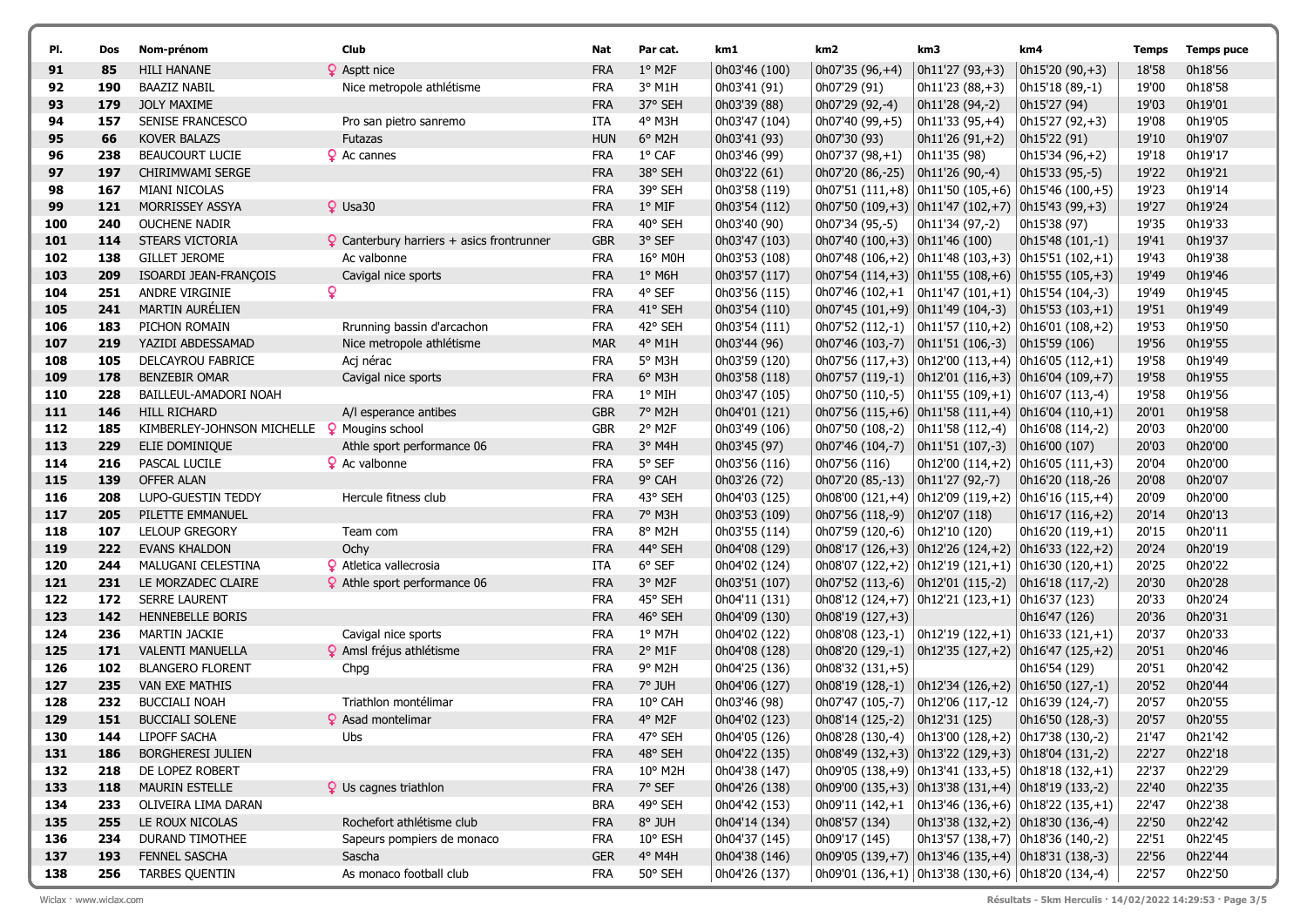| PI.        | Dos        | Nom-prénom                               | Club                                             | Nat               | Par cat.           | km1                            | km2                                       | km3                                                                        | km4                                                                        | Temps          | <b>Temps puce</b>  |
|------------|------------|------------------------------------------|--------------------------------------------------|-------------------|--------------------|--------------------------------|-------------------------------------------|----------------------------------------------------------------------------|----------------------------------------------------------------------------|----------------|--------------------|
| 91         | 85         | <b>HILI HANANE</b>                       | ? Asptt nice                                     | <b>FRA</b>        | 1° M2F             | 0h03'46 (100)                  | $0h07'35(96,+4)$                          | $\vert$ 0h11'27 (93,+3)                                                    | 0h15'20 (90,+3)                                                            | 18'58          | 0h18'56            |
| 92         | 190        | <b>BAAZIZ NABIL</b>                      | Nice metropole athlétisme                        | <b>FRA</b>        | $3^{\circ}$ M1H    | 0h03'41 (91)                   | 0h07'29 (91)                              | $\vert$ 0h11'23 (88,+3)                                                    | 0h15'18 (89,-1)                                                            | 19'00          | 0h18'58            |
| 93         | 179        | <b>JOLY MAXIME</b>                       |                                                  | <b>FRA</b>        | 37° SEH            | 0h03'39 (88)                   | 0h07'29 (92,-4)                           | 0h11'28 (94,-2)                                                            | 0h15'27 (94)                                                               | 19'03          | 0h19'01            |
| 94         | 157        | SENISE FRANCESCO                         | Pro san pietro sanremo                           | ITA               | 4° M3H             | 0h03'47 (104)                  | 0h07'40 (99,+5)                           | $\vert$ 0h11'33 (95,+4)                                                    | 0h15'27 (92,+3)                                                            | 19'08          | 0h19'05            |
| 95         | 66         | <b>KOVER BALAZS</b>                      | <b>Futazas</b>                                   | <b>HUN</b>        | $6^{\circ}$ M2H    | 0h03'41 (93)                   | 0h07'30 (93)                              | $\vert$ 0h11'26 (91,+2)                                                    | 0h15'22 (91)                                                               | 19'10          | 0h19'07            |
| 96         | 238        | BEAUCOURT LUCIE                          | <b>Q</b> Ac cannes                               | <b>FRA</b>        | $1^{\circ}$ CAF    | 0h03'46 (99)                   | $0h07'37(98,+1)$                          | 0h11'35 (98)                                                               | 0h15'34 (96,+2)                                                            | 19'18          | 0h19'17            |
| 97         | 197        | CHIRIMWAMI SERGE                         |                                                  | <b>FRA</b>        | 38° SEH            | 0h03'22 (61)                   | 0h07'20 (86,-25)                          | $ 0h11'26(90,-4) $                                                         | 0h15'33 (95,-5)                                                            | 19'22          | 0h19'21            |
| 98         | 167        | <b>MIANI NICOLAS</b>                     |                                                  | <b>FRA</b>        | 39° SEH            | 0h03'58 (119)                  |                                           |                                                                            | 0h07'51 $(111,+8)$ 0h11'50 $(105,+6)$ 0h15'46 $(100,+5)$                   | 19'23          | 0h19'14            |
| 99         | 121        | MORRISSEY ASSYA                          | $Q$ Usa30                                        | <b>FRA</b>        | $1^{\circ}$ MIF    | 0h03'54 (112)                  |                                           | $\vert$ 0h07'50 (109,+3) $\vert$ 0h11'47 (102,+7) $\vert$ 0h15'43 (99,+3)  |                                                                            | 19'27          | 0h19'24            |
| 100        | 240        | <b>OUCHENE NADIR</b>                     |                                                  | <b>FRA</b>        | 40° SEH            | 0h03'40 (90)                   | 0h07'34 (95,-5)                           | $ 0h11'34(97,-2) $                                                         | 0h15'38 (97)                                                               | 19'35          | 0h19'33            |
| 101        | 114        | STEARS VICTORIA                          | $\Omega$ Canterbury harriers + asics frontrunner | <b>GBR</b>        | 3° SEF             | 0h03'47 (103)                  | $ 0h07'40(100,+3) 0h11'46(100) $          |                                                                            | $  0h15'48 (101,-1)$                                                       | 19'41          | 0h19'37            |
| 102        | 138        | <b>GILLET JEROME</b>                     | Ac valbonne                                      | <b>FRA</b>        | 16° M0H            | 0h03'53 (108)                  |                                           |                                                                            | 0h07'48 (106,+2) $  0h11'48 (103,+3)   0h15'51 (102,+1)$                   | 19'43          | 0h19'38            |
| 103        | 209        | ISOARDI JEAN-FRANÇOIS                    | Cavigal nice sports                              | <b>FRA</b>        | $1^\circ$ M6H      | 0h03'57 (117)                  |                                           |                                                                            | $ 0h07'54(114,+3) 0h11'55(108,+6) 0h15'55(105,+3) $                        | 19'49          | 0h19'46            |
| 104        | 251        | <b>ANDRE VIRGINIE</b>                    | ò                                                | <b>FRA</b>        | 4° SEF             | 0h03'56 (115)                  |                                           | 0h07'46 (102,+1   0h11'47 (101,+1)   0h15'54 (104,-3)                      |                                                                            | 19'49          | 0h19'45            |
| 105        | 241        | <b>MARTIN AURÉLIEN</b>                   |                                                  | <b>FRA</b>        | 41° SEH            | 0h03'54 (110)                  |                                           | $\vert$ 0h07'45 (101,+9) $\vert$ 0h11'49 (104,-3)                          | $\vert$ 0h15'53 (103,+1)                                                   | 19'51          | 0h19'49            |
| 106        | 183        | PICHON ROMAIN                            | Rrunning bassin d'arcachon                       | <b>FRA</b>        | 42° SEH            | Oh03'54 (111)                  |                                           |                                                                            | 0h07'52 (112,-1) $ 0h11'57(110,+2) 0h16'01(108,+2)$                        | 19'53          | 0h19'50            |
| 107        | 219        | YAZIDI ABDESSAMAD                        | Nice metropole athlétisme                        | <b>MAR</b>        | $4°$ M1H           | 0h03'44 (96)                   |                                           |                                                                            |                                                                            | 19'56          | 0h19'55            |
| 108        | 105        | <b>DELCAYROU FABRICE</b>                 | Acj nérac                                        | <b>FRA</b>        | 5° M3H             | 0h03'59 (120)                  |                                           |                                                                            | 0h07'56 (117, +3) 0h12'00 (113, +4) 0h16'05 (112, +1)                      | 19'58          | 0h19'49            |
| 109        | 178        | <b>BENZEBIR OMAR</b>                     | Cavigal nice sports                              | <b>FRA</b>        | 6° M3H             | 0h03'58 (118)                  |                                           |                                                                            | $ 0h07'57(119,-1) 0h12'01(116,+3) 0h16'04(109,+7) $                        | 19'58          | 0h19'55            |
| 110        | 228        | BAILLEUL-AMADORI NOAH                    |                                                  | <b>FRA</b>        | $1^{\circ}$ MIH    | 0h03'47 (105)                  |                                           |                                                                            |                                                                            | 19'58          | 0h19'56            |
| 111        | 146        | <b>HILL RICHARD</b>                      | A/I esperance antibes                            | <b>GBR</b>        | 7° M2H             | 0h04'01 (121)                  |                                           |                                                                            | $ 0h07'56(115,+6) 0h11'58(111,+4) 0h16'04(110,+1) $                        | 20'01          | 0h19'58            |
| 112        | 185        | KIMBERLEY-JOHNSON MICHELLE               | <sup>2</sup> Mougins school                      | <b>GBR</b>        | 2° M2F             | 0h03'49 (106)                  | 0h07'50 (108,-2) $  0h11'58 (112,-4)$     |                                                                            | Oh16'08 (114,-2)                                                           | 20'03          | 0h20'00            |
| 113        | 229        | ELIE DOMINIQUE                           | Athle sport performance 06                       | <b>FRA</b>        | 3° M4H             | 0h03'45 (97)                   |                                           |                                                                            | 0h16'00 (107)                                                              | 20'03          | 0h20'00            |
| 114        | 216        | PASCAL LUCILE                            | <b>Q</b> Ac valbonne                             | <b>FRA</b>        | 5° SEF             | 0h03'56 (116)                  | 0h07'56 (116)                             |                                                                            | $ 0h12'00(114,+2) 0h16'05(111,+3) $                                        | 20'04          | 0h20'00            |
| 115        | 139        | <b>OFFER ALAN</b>                        |                                                  | <b>FRA</b>        | 9° CAH             | 0h03'26 (72)                   | 0h07'20 (85,-13)                          | $ 0h11'27(92,-7) $                                                         | 0h16'20 (118,-26                                                           | 20'08          | 0h20'07            |
| 116        | 208        | LUPO-GUESTIN TEDDY                       | Hercule fitness club                             | <b>FRA</b>        | 43° SEH            | 0h04'03 (125)                  |                                           |                                                                            | 0h08'00 $(121,+4)$ 0h12'09 $(119,+2)$ 0h16'16 $(115,+4)$                   | 20'09          | 0h20'00            |
| 117        | 205        | PILETTE EMMANUEL                         |                                                  | <b>FRA</b>        | 7° M3H             | 0h03'53 (109)                  | 0h07'56 (118,-9) $  0h12'07 (118)$        |                                                                            | $  0h16'17 (116,+2)$                                                       | 20'14          | 0h20'13            |
| 118        | 107        | <b>LELOUP GREGORY</b>                    | Team com                                         | <b>FRA</b>        | 8° M2H             | 0h03'55 (114)                  | 0h07'59 (120,-6) $ 0h12'10(120) $         |                                                                            | $0h16'20(119,+1)$                                                          | 20'15          | 0h20'11            |
| 119        | 222        | <b>EVANS KHALDON</b>                     | Ochy                                             | <b>FRA</b>        | 44° SEH            | 0h04'08 (129)                  |                                           |                                                                            | $\vert$ 0h08'17 (126,+3) $\vert$ 0h12'26 (124,+2) $\vert$ 0h16'33 (122,+2) | 20'24          | 0h20'19            |
| 120        | 244        | MALUGANI CELESTINA                       | <b>Q</b> Atletica vallecrosia                    | ITA               | $6^{\circ}$ SEF    | 0h04'02 (124)                  |                                           |                                                                            | $ 0h08'07(122,+2) 0h12'19(121,+1) 0h16'30(120,+1) $                        | 20'25          | 0h20'22            |
| 121        | 231        | LE MORZADEC CLAIRE                       | <b>9</b> Athle sport performance 06              | <b>FRA</b>        | 3° M2F             | 0h03'51 (107)                  | 0h07'52 (113,-6) $\vert$ 0h12'01 (115,-2) |                                                                            | 0h16'18 (117,-2)                                                           | 20'30          | 0h20'28            |
| 122        | 172        | <b>SERRE LAURENT</b>                     |                                                  | <b>FRA</b>        | 45° SEH            | 0h04'11 (131)                  |                                           | $0h08'12(124,+7)$ 0h12'21 (123,+1) 0h16'37 (123)                           |                                                                            | 20'33          | 0h20'24            |
| 123        | 142        | HENNEBELLE BORIS                         |                                                  | <b>FRA</b>        | 46° SEH            | 0h04'09 (130)                  | 0h08'19 (127,+3)                          |                                                                            | 0h16'47 (126)                                                              | 20'36          | 0h20'31            |
| 124        | 236        | <b>MARTIN JACKIE</b>                     | Cavigal nice sports                              | <b>FRA</b>        | $1^{\circ}$ M7H    | 0h04'02 (122)                  |                                           |                                                                            | 0h08'08 (123,-1)   0h12'19 (122,+1)   0h16'33 (121,+1)                     | 20'37          | 0h20'33            |
| 125        | 171        | <b>VALENTI MANUELLA</b>                  | 9 Amsl fréjus athlétisme                         | <b>FRA</b>        | $2^{\circ}$ M1F    | 0h04'08 (128)                  |                                           |                                                                            | $\vert$ 0h08'20 (129,-1) $\vert$ 0h12'35 (127,+2) $\vert$ 0h16'47 (125,+2) | 20'51          | 0h20'46            |
| 126        | 102        | <b>BLANGERO FLORENT</b>                  | Chpg                                             | <b>FRA</b>        | 9° M2H             | 0h04'25 (136)                  | 0h08'32 (131,+5)                          |                                                                            | 0h16'54 (129)                                                              | 20'51          | 0h20'42            |
| 127        | 235        | <b>VAN EXE MATHIS</b>                    |                                                  | <b>FRA</b>        | 7° JUH             | 0h04'06 (127)                  | 0h08'19 (128,-1)                          | $\vert$ 0h12'34 (126,+2) $\vert$ 0h16'50 (127,-1)                          |                                                                            | 20'52          | 0h20'44            |
| 128        | 232        | <b>BUCCIALI NOAH</b>                     | Triathlon montélimar                             | <b>FRA</b>        | 10° CAH            | 0h03'46 (98)                   | 0h07'47 (105,-7)                          | $ 0h12'06(117,-12) $                                                       | $  0h16'39 (124,-7)$                                                       | 20'57          | 0h20'55            |
| 129        | 151        | <b>BUCCIALI SOLENE</b>                   | <b>Q</b> Asad montelimar                         | <b>FRA</b>        | 4° M2F             | 0h04'02 (123)                  | $0h08'14(125,-2)$ 0h12'31 (125)           |                                                                            | 0h16'50 (128,-3)                                                           | 20'57          | 0h20'55            |
| 130        | 144        | LIPOFF SACHA<br><b>BORGHERESI JULIEN</b> | Ubs                                              | FRA               | 47° SEH            | 0h04'05 (126)                  |                                           |                                                                            |                                                                            | 21'47          | 0h21'42            |
| 131        | 186        |                                          |                                                  | <b>FRA</b>        | 48° SEH<br>10° M2H | 0h04'22 (135)                  |                                           | $\vert$ 0h08'49 (132,+3) $\vert$ 0h13'22 (129,+3) $\vert$ 0h18'04 (131,-2) | 0h09'05 (138, +9) 0h13'41 (133, +5) 0h18'18 (132, +1)                      | 22'27<br>22'37 | 0h22'18            |
| 132<br>133 | 218<br>118 | DE LOPEZ ROBERT<br><b>MAURIN ESTELLE</b> | $\circ$ Us cagnes triathlon                      | FRA<br><b>FRA</b> | 7° SEF             | 0h04'38 (147)<br>0h04'26 (138) |                                           | 0h09'00 (135,+3) 0h13'38 (131,+4) 0h18'19 (133,-2)                         |                                                                            | 22'40          | 0h22'29<br>0h22'35 |
| 134        | 233        | OLIVEIRA LIMA DARAN                      |                                                  | <b>BRA</b>        | 49° SEH            | 0h04'42 (153)                  |                                           |                                                                            | 0h09'11 (142,+1   0h13'46 (136,+6)   0h18'22 (135,+1)                      | 22'47          | 0h22'38            |
| 135        | 255        | LE ROUX NICOLAS                          | Rochefort athlétisme club                        | <b>FRA</b>        | 8° JUH             | 0h04'14 (134)                  | 0h08'57 (134)                             | $\vert$ 0h13'38 (132, +2) $\vert$ 0h18'30 (136, -4)                        |                                                                            | 22'50          | 0h22'42            |
| 136        | 234        | DURAND TIMOTHEE                          | Sapeurs pompiers de monaco                       | FRA               | $10^{\circ}$ ESH   | 0h04'37 (145)                  | 0h09'17 (145)                             | $\vert$ 0h13'57 (138,+7) $\vert$ 0h18'36 (140,-2)                          |                                                                            | 22'51          | 0h22'45            |
| 137        | 193        | <b>FENNEL SASCHA</b>                     | Sascha                                           | <b>GER</b>        | 4° M4H             | 0h04'38 (146)                  |                                           | 0h09'05 (139,+7) 0h13'46 (135,+4) 0h18'31 (138,-3)                         |                                                                            | 22'56          | 0h22'44            |
| 138        | 256        | TARBES QUENTIN                           | As monaco football club                          | <b>FRA</b>        | 50° SEH            | 0h04'26 (137)                  |                                           | 0h09'01 (136,+1) 0h13'38 (130,+6) 0h18'20 (134,-4)                         |                                                                            | 22'57          | 0h22'50            |
|            |            |                                          |                                                  |                   |                    |                                |                                           |                                                                            |                                                                            |                |                    |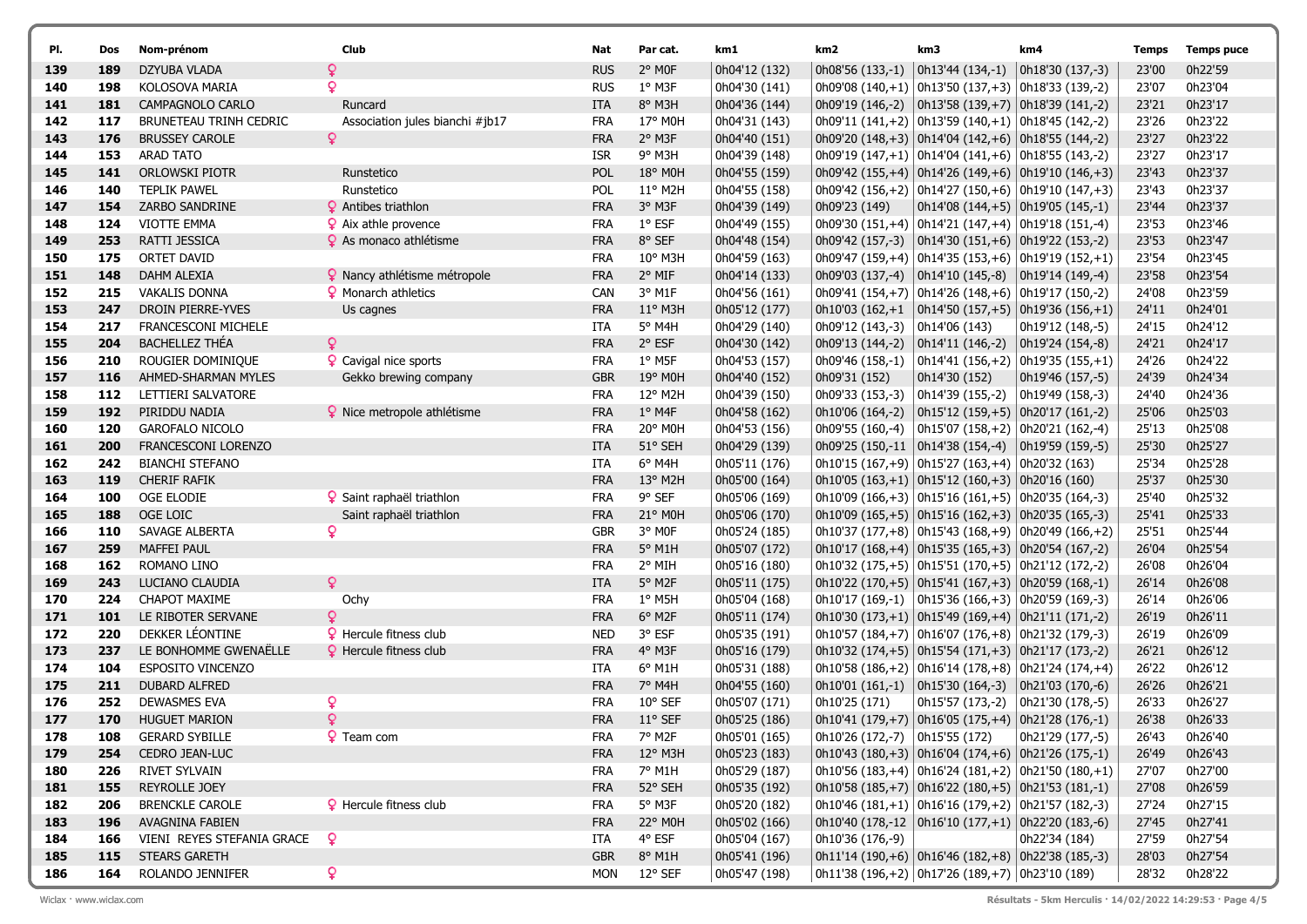| PI. | Dos | Nom-prénom                    | Club                                    | Nat        | Par cat.         | km1           | km2                            | km3                                                                        | km4                  | Temps | <b>Temps puce</b> |
|-----|-----|-------------------------------|-----------------------------------------|------------|------------------|---------------|--------------------------------|----------------------------------------------------------------------------|----------------------|-------|-------------------|
| 139 | 189 | DZYUBA VLADA                  | Q                                       | <b>RUS</b> | 2° MOF           | 0h04'12 (132) |                                | 0h08'56 $(133,-1)$ 0h13'44 $(134,-1)$                                      | $  0h18'30 (137,-3)$ | 23'00 | 0h22'59           |
| 140 | 198 | KOLOSOVA MARIA                | ò                                       | <b>RUS</b> | $1^{\circ}$ M3F  | 0h04'30 (141) |                                | 0h09'08 (140,+1) 0h13'50 (137,+3) 0h18'33 (139,-2)                         |                      | 23'07 | 0h23'04           |
| 141 | 181 | CAMPAGNOLO CARLO              | Runcard                                 | <b>ITA</b> | 8° M3H           | 0h04'36 (144) |                                | $\vert$ 0h09'19 (146,-2) $\vert$ 0h13'58 (139,+7) $\vert$ 0h18'39 (141,-2) |                      | 23'21 | 0h23'17           |
| 142 | 117 | <b>BRUNETEAU TRINH CEDRIC</b> | Association jules bianchi #jb17         | <b>FRA</b> | 17° M0H          | 0h04'31 (143) |                                | 0h09'11 (141, +2) 0h13'59 (140, +1) 0h18'45 (142, -2)                      |                      | 23'26 | 0h23'22           |
| 143 | 176 | <b>BRUSSEY CAROLE</b>         |                                         | <b>FRA</b> | 2° M3F           | 0h04'40 (151) |                                | $ 0h09'20(148,+3) 0h14'04(142,+6) 0h18'55(144,-2) $                        |                      | 23'27 | 0h23'22           |
| 144 | 153 | <b>ARAD TATO</b>              |                                         | <b>ISR</b> | 9° M3H           | 0h04'39 (148) |                                | 0h09'19 (147,+1) 0h14'04 (141,+6) 0h18'55 (143,-2)                         |                      | 23'27 | 0h23'17           |
| 145 | 141 | <b>ORLOWSKI PIOTR</b>         | Runstetico                              | <b>POL</b> | 18° M0H          | Oh04'55 (159) |                                | $ 0h09'42(155,+4) 0h14'26(149,+6) 0h19'10(146,+3)$                         |                      | 23'43 | 0h23'37           |
| 146 | 140 | <b>TEPLIK PAWEL</b>           | Runstetico                              | POL        | $11^{\circ}$ M2H | 0h04'55 (158) |                                |                                                                            |                      | 23'43 | 0h23'37           |
| 147 | 154 | ZARBO SANDRINE                | <b>Q</b> Antibes triathlon              | <b>FRA</b> | 3° M3F           | 0h04'39 (149) | 0h09'23 (149)                  | $ 0h14'08(144,+5) 0h19'05(145,-1) $                                        |                      | 23'44 | 0h23'37           |
| 148 | 124 | <b>VIOTTE EMMA</b>            | $\frac{6}{5}$ Aix athle provence        | <b>FRA</b> | $1^{\circ}$ ESF  | 0h04'49 (155) |                                | 0h09'30 (151,+4) 0h14'21 (147,+4) 0h19'18 (151,-4)                         |                      | 23'53 | 0h23'46           |
| 149 | 253 | RATTI JESSICA                 | 9 As monaco athlétisme                  | <b>FRA</b> | 8° SEF           | 0h04'48 (154) |                                | $ 0h09'42(157,-3) 0h14'30(151,+6) 0h19'22(153,-2) $                        |                      | 23'53 | 0h23'47           |
| 150 | 175 | ORTET DAVID                   |                                         | FRA        | $10^{\circ}$ M3H | 0h04'59 (163) |                                | 0h09'47 (159, +4) 0h14'35 (153, +6) 0h19'19 (152, +1)                      |                      | 23'54 | 0h23'45           |
| 151 | 148 | DAHM ALEXIA                   | <sup>2</sup> Nancy athlétisme métropole | <b>FRA</b> | 2° MIF           | 0h04'14 (133) |                                | $  0h09'03 (137,-4)   0h14'10 (145,-8)   0h19'14 (149,-4)$                 |                      | 23'58 | 0h23'54           |
| 152 | 215 | <b>VAKALIS DONNA</b>          | <b>9</b> Monarch athletics              | <b>CAN</b> | 3° M1F           | 0h04'56 (161) |                                | 0h09'41 $(154,+7)$ 0h14'26 $(148,+6)$ 0h19'17 $(150,-2)$                   |                      | 24'08 | 0h23'59           |
| 153 | 247 | DROIN PIERRE-YVES             | Us cagnes                               | <b>FRA</b> | $11^{\circ}$ M3H | 0h05'12 (177) |                                | $\vert$ 0h10'03 (162,+1 $\vert$ 0h14'50 (157,+5) $\vert$ 0h19'36 (156,+1)  |                      | 24'11 | 0h24'01           |
| 154 | 217 | FRANCESCONI MICHELE           |                                         | ITA        | 5° M4H           | 0h04'29 (140) | 0h09'12 (143,-3)               | 0h14'06 (143)                                                              | 0h19'12 (148,-5)     | 24'15 | 0h24'12           |
| 155 | 204 | <b>BACHELLEZ THÉA</b>         |                                         | <b>FRA</b> | 2° ESF           | Oh04'30 (142) |                                | $\vert$ 0h09'13 (144,-2) $\vert$ 0h14'11 (146,-2) $\vert$ 0h19'24 (154,-8) |                      | 24'21 | 0h24'17           |
| 156 | 210 | ROUGIER DOMINIQUE             | <b>Q</b> Cavigal nice sports            | FRA        | $1^{\circ}$ M5F  | 0h04'53 (157) | 0h09'46 (158,-1)               | $ 0h14'41(156,+2) 0h19'35(155,+1) $                                        |                      | 24'26 | 0h24'22           |
| 157 | 116 | AHMED-SHARMAN MYLES           | Gekko brewing company                   | <b>GBR</b> | 19° M0H          | Oh04'40 (152) | Oh09'31 (152)                  | 0h14'30 (152)                                                              | 0h19'46 (157,-5)     | 24'39 | 0h24'34           |
| 158 | 112 | LETTIERI SALVATORE            |                                         | <b>FRA</b> | 12° M2H          | 0h04'39 (150) |                                | 0h09'33 (153,-3) $  0h14'39 (155,-2)$                                      | 0h19'49 (158,-3)     | 24'40 | 0h24'36           |
| 159 | 192 | PIRIDDU NADIA                 | <b>?</b> Nice metropole athlétisme      | <b>FRA</b> | $1°$ M4F         | 0h04'58 (162) |                                | $  0h10'06 (164,-2)   0h15'12 (159,+5)   0h20'17 (161,-2)$                 |                      | 25'06 | 0h25'03           |
| 160 | 120 | <b>GAROFALO NICOLO</b>        |                                         | <b>FRA</b> | 20° M0H          | 0h04'53 (156) |                                |                                                                            |                      | 25'13 | 0h25'08           |
| 161 | 200 | FRANCESCONI LORENZO           |                                         | <b>ITA</b> | 51° SEH          | 0h04'29 (139) |                                | 0h09'25 (150,-11   0h14'38 (154,-4)   0h19'59 (159,-5)                     |                      | 25'30 | 0h25'27           |
| 162 | 242 | <b>BIANCHI STEFANO</b>        |                                         | ITA        | $6^{\circ}$ M4H  | 0h05'11 (176) |                                | $\vert$ 0h10'15 (167,+9) $\vert$ 0h15'27 (163,+4) $\vert$ 0h20'32 (163)    |                      | 25'34 | 0h25'28           |
| 163 | 119 | <b>CHERIF RAFIK</b>           |                                         | <b>FRA</b> | 13° M2H          | 0h05'00 (164) |                                | $  0h10'05 (163,+1)   0h15'12 (160,+3)   0h20'16 (160)$                    |                      | 25'37 | 0h25'30           |
| 164 | 100 | OGE ELODIE                    | 9 Saint raphaël triathlon               | <b>FRA</b> | 9° SEF           | 0h05'06 (169) |                                | 0h10'09 (166,+3) 0h15'16 (161,+5) 0h20'35 (164,-3)                         |                      | 25'40 | 0h25'32           |
| 165 | 188 | OGE LOIC                      | Saint raphaël triathlon                 | <b>FRA</b> | 21° M0H          | Oh05'06 (170) |                                | $ 0h10'09(165,+5) 0h15'16(162,+3) 0h20'35(165,-3) $                        |                      | 25'41 | 0h25'33           |
| 166 | 110 | SAVAGE ALBERTA                | ò                                       | <b>GBR</b> | 3° MOF           | 0h05'24 (185) |                                | 0h10'37 (177,+8) 0h15'43 (168,+9) 0h20'49 (166,+2)                         |                      | 25'51 | 0h25'44           |
| 167 | 259 | <b>MAFFEI PAUL</b>            |                                         | <b>FRA</b> | 5° M1H           | 0h05'07 (172) |                                | $ 0h10'17(168,+4) 0h15'35(165,+3) 0h20'54(167,-2) $                        |                      | 26'04 | 0h25'54           |
| 168 | 162 | ROMANO LINO                   |                                         | FRA        | 2° MIH           | 0h05'16 (180) |                                | 0h10'32 (175,+5)   0h15'51 (170,+5)   0h21'12 (172,-2)                     |                      | 26'08 | 0h26'04           |
| 169 | 243 | LUCIANO CLAUDIA               | Q                                       | <b>ITA</b> | 5° M2F           | 0h05'11 (175) |                                | $ 0h10'22(170,+5) 0h15'41(167,+3) 0h20'59(168,-1) $                        |                      | 26'14 | 0h26'08           |
| 170 | 224 | <b>CHAPOT MAXIME</b>          | Ochy                                    | <b>FRA</b> | $1^{\circ}$ M5H  | 0h05'04 (168) |                                | 0h10'17 (169,-1)   0h15'36 (166,+3)   0h20'59 (169,-3)                     |                      | 26'14 | 0h26'06           |
| 171 | 101 | LE RIBOTER SERVANE            | $\mathbf Q$                             | <b>FRA</b> | 6° M2F           | 0h05'11 (174) |                                | $ 0h10'30(173,+1) 0h15'49(169,+4) 0h21'11(171,-2) $                        |                      | 26'19 | 0h26'11           |
| 172 | 220 | DEKKER LÉONTINE               | <b>9</b> Hercule fitness club           | <b>NED</b> | 3° ESF           | 0h05'35 (191) |                                | 0h10'57 (184,+7) 0h16'07 (176,+8) 0h21'32 (179,-3)                         |                      | 26'19 | 0h26'09           |
| 173 | 237 | LE BONHOMME GWENAËLLE         | P Hercule fitness club                  | <b>FRA</b> | 4° M3F           | 0h05'16 (179) |                                | $  0h10'32 (174,+5)   0h15'54 (171,+3)   0h21'17 (173,-2)$                 |                      | 26'21 | 0h26'12           |
| 174 | 104 | ESPOSITO VINCENZO             |                                         | ITA        | $6^{\circ}$ M1H  | 0h05'31 (188) |                                | 0h10'58 (186,+2)   0h16'14 (178,+8)   0h21'24 (174,+4)                     |                      | 26'22 | 0h26'12           |
| 175 | 211 | DUBARD ALFRED                 |                                         | <b>FRA</b> | 7° M4H           | 0h04'55 (160) |                                | $ 0h10'01 (161,-1)  0h15'30 (164,-3)  0h21'03 (170,-6)$                    |                      | 26'26 | 0h26'21           |
| 176 | 252 | DEWASMES EVA                  | ò                                       | <b>FRA</b> | $10^{\circ}$ SEF | 0h05'07 (171) | 0h10'25 (171)                  | $ 0h15'57(173,-2) 0h21'30(178,-5) $                                        |                      | 26'33 | 0h26'27           |
| 177 | 170 | <b>HUGUET MARION</b>          | $\mathbf{Q}$                            | <b>FRA</b> | $11^{\circ}$ SEF | 0h05'25 (186) |                                | $ 0h10'41 (179,+7)  0h16'05 (175,+4)  0h21'28 (176,-1)$                    |                      | 26'38 | 0h26'33           |
| 178 | 108 | <b>GERARD SYBILLE</b>         | <b>Q</b> Team com                       | <b>FRA</b> | 7° M2F           | 0h05'01 (165) | 0h10'26 (172,-7) 0h15'55 (172) |                                                                            | 0h21'29 (177,-5)     | 26'43 | 0h26'40           |
| 179 | 254 | CEDRO JEAN-LUC                |                                         | <b>FRA</b> | 12° M3H          | 0h05'23 (183) |                                | $\vert$ 0h10'43 (180,+3) $\vert$ 0h16'04 (174,+6) $\vert$ 0h21'26 (175,-1) |                      | 26'49 | 0h26'43           |
| 180 | 226 | <b>RIVET SYLVAIN</b>          |                                         | <b>FRA</b> | 7° M1H           | 0h05'29 (187) |                                | $\vert$ 0h10'56 (183,+4) $\vert$ 0h16'24 (181,+2) $\vert$ 0h21'50 (180,+1) |                      | 27'07 | 0h27'00           |
| 181 | 155 | REYROLLE JOEY                 |                                         | <b>FRA</b> | 52° SEH          | 0h05'35 (192) |                                | $\vert$ 0h10'58 (185,+7) $\vert$ 0h16'22 (180,+5) $\vert$ 0h21'53 (181,-1) |                      | 27'08 | 0h26'59           |
| 182 | 206 | <b>BRENCKLE CAROLE</b>        | <b>Q</b> Hercule fitness club           | <b>FRA</b> | 5° M3F           | 0h05'20 (182) |                                | $0h10'46 (181,+1)$ 0h16'16 (179,+2) 0h21'57 (182,-3)                       |                      | 27'24 | 0h27'15           |
| 183 | 196 | AVAGNINA FABIEN               |                                         | <b>FRA</b> | 22° M0H          | Oh05'02 (166) |                                | $\vert$ 0h10'40 (178,-12 $\vert$ 0h16'10 (177,+1) $\vert$ 0h22'20 (183,-6) |                      | 27'45 | 0h27'41           |
| 184 | 166 | VIENI REYES STEFANIA GRACE    | $\mathsf{Q}$                            | ITA        | 4° ESF           | 0h05'04 (167) | 0h10'36 (176,-9)               |                                                                            | 0h22'34 (184)        | 27'59 | 0h27'54           |
| 185 | 115 | <b>STEARS GARETH</b>          |                                         | <b>GBR</b> | 8° M1H           | Oh05'41 (196) |                                | $ 0h11'14(190,+6) 0h16'46(182,+8) 0h22'38(185,-3) $                        |                      | 28'03 | 0h27'54           |
| 186 | 164 | ROLANDO JENNIFER              | Q                                       | <b>MON</b> | $12^{\circ}$ SEF | 0h05'47 (198) |                                | $\vert$ 0h11'38 (196,+2) $\vert$ 0h17'26 (189,+7) $\vert$ 0h23'10 (189)    |                      | 28'32 | 0h28'22           |